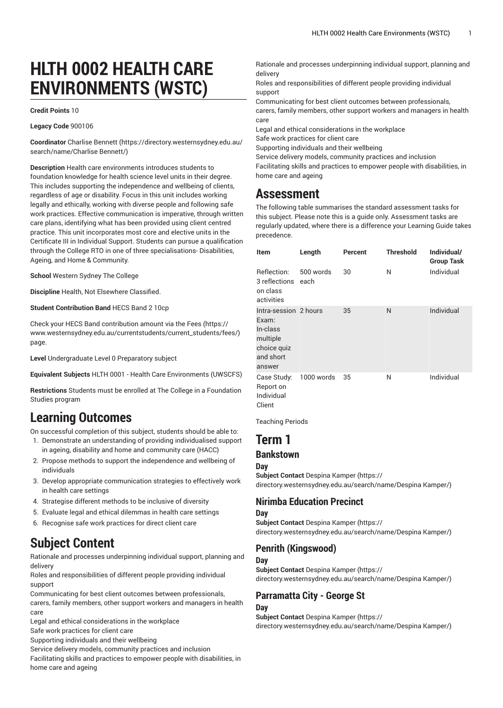# **HLTH 0002 HEALTH CARE ENVIRONMENTS (WSTC)**

#### **Credit Points** 10

#### **Legacy Code** 900106

**Coordinator** [Charlise Bennett \(https://directory.westernsydney.edu.au/](https://directory.westernsydney.edu.au/search/name/Charlise Bennett/) [search/name/Charlise](https://directory.westernsydney.edu.au/search/name/Charlise Bennett/) Bennett/)

**Description** Health care environments introduces students to foundation knowledge for health science level units in their degree. This includes supporting the independence and wellbeing of clients, regardless of age or disability. Focus in this unit includes working legally and ethically, working with diverse people and following safe work practices. Effective communication is imperative, through written care plans, identifying what has been provided using client centred practice. This unit incorporates most core and elective units in the Certificate III in Individual Support. Students can pursue a qualification through the College RTO in one of three specialisations- Disabilities, Ageing, and Home & Community.

**School** Western Sydney The College

**Discipline** Health, Not Elsewhere Classified.

**Student Contribution Band** HECS Band 2 10cp

Check your HECS Band contribution amount via the [Fees \(https://](https://www.westernsydney.edu.au/currentstudents/current_students/fees/) [www.westernsydney.edu.au/currentstudents/current\\_students/fees/\)](https://www.westernsydney.edu.au/currentstudents/current_students/fees/) page.

**Level** Undergraduate Level 0 Preparatory subject

**Equivalent Subjects** [HLTH](/search/?P=HLTH%200001) 0001 - Health Care Environments (UWSCFS)

**Restrictions** Students must be enrolled at The College in a Foundation Studies program

## **Learning Outcomes**

On successful completion of this subject, students should be able to:

- 1. Demonstrate an understanding of providing individualised support in ageing, disability and home and community care (HACC)
- 2. Propose methods to support the independence and wellbeing of individuals
- 3. Develop appropriate communication strategies to effectively work in health care settings
- 4. Strategise different methods to be inclusive of diversity
- 5. Evaluate legal and ethical dilemmas in health care settings
- 6. Recognise safe work practices for direct client care

## **Subject Content**

Rationale and processes underpinning individual support, planning and delivery

Roles and responsibilities of different people providing individual support

Communicating for best client outcomes between professionals, carers, family members, other support workers and managers in health care

Legal and ethical considerations in the workplace

Safe work practices for client care

Supporting individuals and their wellbeing

Service delivery models, community practices and inclusion

Facilitating skills and practices to empower people with disabilities, in home care and ageing

Rationale and processes underpinning individual support, planning and delivery

Roles and responsibilities of different people providing individual support

Communicating for best client outcomes between professionals, carers, family members, other support workers and managers in health care

Legal and ethical considerations in the workplace

Safe work practices for client care

Supporting individuals and their wellbeing

Service delivery models, community practices and inclusion

Facilitating skills and practices to empower people with disabilities, in home care and ageing

## **Assessment**

The following table summarises the standard assessment tasks for this subject. Please note this is a guide only. Assessment tasks are regularly updated, where there is a difference your Learning Guide takes precedence.

| <b>Item</b>                                                                                  | Length            | Percent | <b>Threshold</b> | Individual/<br><b>Group Task</b> |
|----------------------------------------------------------------------------------------------|-------------------|---------|------------------|----------------------------------|
| Reflection:<br>3 reflections<br>on class<br>activities                                       | 500 words<br>each | 30      | N                | Individual                       |
| Intra-session 2 hours<br>Exam:<br>In-class<br>multiple<br>choice quiz<br>and short<br>answer |                   | 35      | N                | Individual                       |
| Case Study:<br>Report on<br>Individual<br>Client                                             | 1000 words        | 35      | Ν                | Individual                       |

Teaching Periods

## **Term 1**

## **Bankstown**

**Day Subject Contact** [Despina Kamper](https://directory.westernsydney.edu.au/search/name/Despina Kamper/) ([https://](https://directory.westernsydney.edu.au/search/name/Despina Kamper/) [directory.westernsydney.edu.au/search/name/Despina](https://directory.westernsydney.edu.au/search/name/Despina Kamper/) Kamper/)

### **Nirimba Education Precinct**

### **Day**

**Subject Contact** [Despina Kamper](https://directory.westernsydney.edu.au/search/name/Despina Kamper/) ([https://](https://directory.westernsydney.edu.au/search/name/Despina Kamper/) [directory.westernsydney.edu.au/search/name/Despina](https://directory.westernsydney.edu.au/search/name/Despina Kamper/) Kamper/)

### **Penrith (Kingswood)**

#### **Day**

**Subject Contact** [Despina Kamper](https://directory.westernsydney.edu.au/search/name/Despina Kamper/) ([https://](https://directory.westernsydney.edu.au/search/name/Despina Kamper/)

[directory.westernsydney.edu.au/search/name/Despina](https://directory.westernsydney.edu.au/search/name/Despina Kamper/) Kamper/)

### **Parramatta City - George St**

#### **Day**

**Subject Contact** [Despina Kamper](https://directory.westernsydney.edu.au/search/name/Despina Kamper/) ([https://](https://directory.westernsydney.edu.au/search/name/Despina Kamper/) [directory.westernsydney.edu.au/search/name/Despina](https://directory.westernsydney.edu.au/search/name/Despina Kamper/) Kamper/)